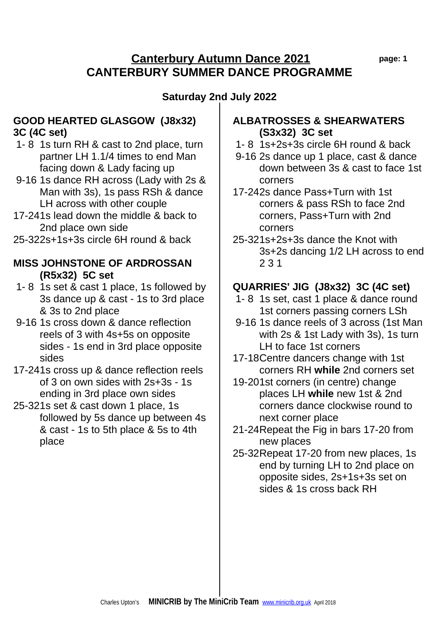## **Canterbury Autumn Dance 2021 page: 1 CANTERBURY SUMMER DANCE PROGRAMME**

# **Saturday 2nd July 2022**

#### **GOOD HEARTED GLASGOW (J8x32) 3C (4C set)**

- 1- 8 1s turn RH & cast to 2nd place, turn partner LH 1.1/4 times to end Man facing down & Lady facing up
- 9-16 1s dance RH across (Lady with 2s & Man with 3s), 1s pass RSh & dance LH across with other couple
- 17-241s lead down the middle & back to 2nd place own side
- 25-322s+1s+3s circle 6H round & back

#### **MISS JOHNSTONE OF ARDROSSAN (R5x32) 5C set**

- 1- 8 1s set & cast 1 place, 1s followed by 3s dance up & cast - 1s to 3rd place & 3s to 2nd place
- 9-16 1s cross down & dance reflection reels of 3 with 4s+5s on opposite sides - 1s end in 3rd place opposite sides
- 17-241s cross up & dance reflection reels of 3 on own sides with 2s+3s - 1s ending in 3rd place own sides
- 25-321s set & cast down 1 place, 1s followed by 5s dance up between 4s & cast - 1s to 5th place & 5s to 4th place

#### **ALBATROSSES & SHEARWATERS (S3x32) 3C set**

- 1- 8 1s+2s+3s circle 6H round & back
- 9-16 2s dance up 1 place, cast & dance down between 3s & cast to face 1st corners
- 17-242s dance Pass+Turn with 1st corners & pass RSh to face 2nd corners, Pass+Turn with 2nd corners
- 25-321s+2s+3s dance the Knot with 3s+2s dancing 1/2 LH across to end 2 3 1

# **QUARRIES' JIG (J8x32) 3C (4C set)**

- 1- 8 1s set, cast 1 place & dance round 1st corners passing corners LSh
- 9-16 1s dance reels of 3 across (1st Man with 2s & 1st Lady with 3s), 1s turn LH to face 1st corners
- 17-18Centre dancers change with 1st corners RH **while** 2nd corners set
- 19-201st corners (in centre) change places LH **while** new 1st & 2nd corners dance clockwise round to next corner place
- 21-24Repeat the Fig in bars 17-20 from new places
- 25-32Repeat 17-20 from new places, 1s end by turning LH to 2nd place on opposite sides, 2s+1s+3s set on sides & 1s cross back RH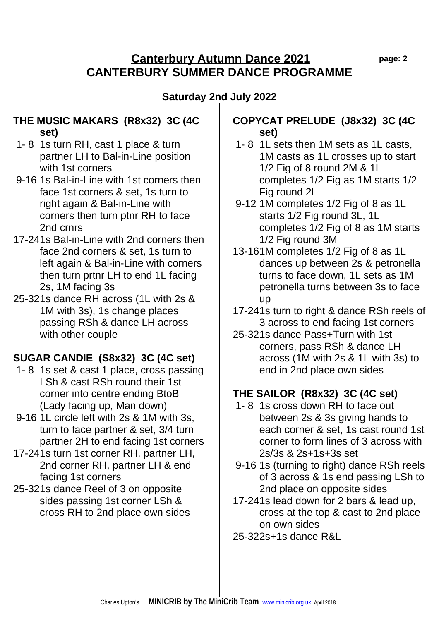## **Canterbury Autumn Dance 2021 page: 2 CANTERBURY SUMMER DANCE PROGRAMME**

# **Saturday 2nd July 2022**

#### **THE MUSIC MAKARS (R8x32) 3C (4C set)**

- 1- 8 1s turn RH, cast 1 place & turn partner LH to Bal-in-Line position with 1st corners
- 9-16 1s Bal-in-Line with 1st corners then face 1st corners & set, 1s turn to right again & Bal-in-Line with corners then turn ptnr RH to face 2nd crnrs
- 17-241s Bal-in-Line with 2nd corners then face 2nd corners & set, 1s turn to left again & Bal-in-Line with corners then turn prtnr LH to end 1L facing 2s, 1M facing 3s
- 25-321s dance RH across (1L with 2s & 1M with 3s), 1s change places passing RSh & dance LH across with other couple

# **SUGAR CANDIE (S8x32) 3C (4C set)**

- 1- 8 1s set & cast 1 place, cross passing LSh & cast RSh round their 1st corner into centre ending BtoB (Lady facing up, Man down)
- 9-16 1L circle left with 2s & 1M with 3s, turn to face partner & set, 3/4 turn partner 2H to end facing 1st corners
- 17-241s turn 1st corner RH, partner LH, 2nd corner RH, partner LH & end facing 1st corners
- 25-321s dance Reel of 3 on opposite sides passing 1st corner LSh & cross RH to 2nd place own sides

## **COPYCAT PRELUDE (J8x32) 3C (4C set)**

- 1- 8 1L sets then 1M sets as 1L casts, 1M casts as 1L crosses up to start 1/2 Fig of 8 round 2M & 1L completes 1/2 Fig as 1M starts 1/2 Fig round 2L
- 9-12 1M completes 1/2 Fig of 8 as 1L starts 1/2 Fig round 3L, 1L completes 1/2 Fig of 8 as 1M starts 1/2 Fig round 3M
- 13-161M completes 1/2 Fig of 8 as 1L dances up between 2s & petronella turns to face down, 1L sets as 1M petronella turns between 3s to face up
- 17-241s turn to right & dance RSh reels of 3 across to end facing 1st corners
- 25-321s dance Pass+Turn with 1st corners, pass RSh & dance LH across (1M with 2s & 1L with 3s) to end in 2nd place own sides

# **THE SAILOR (R8x32) 3C (4C set)**

- 1- 8 1s cross down RH to face out between 2s & 3s giving hands to each corner & set, 1s cast round 1st corner to form lines of 3 across with 2s/3s & 2s+1s+3s set
- 9-16 1s (turning to right) dance RSh reels of 3 across & 1s end passing LSh to 2nd place on opposite sides
- 17-241s lead down for 2 bars & lead up, cross at the top & cast to 2nd place on own sides
- 25-322s+1s dance R&L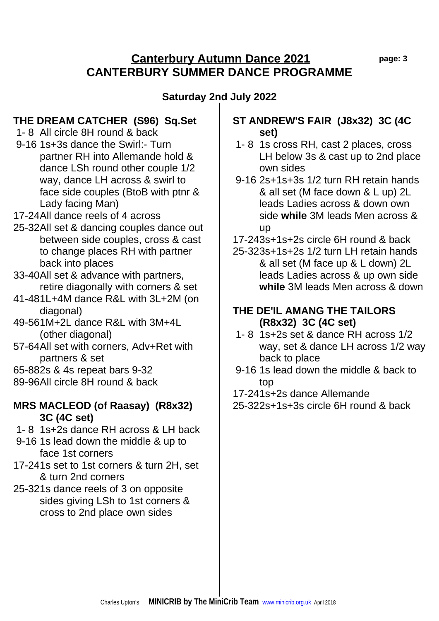#### **Canterbury Autumn Dance 2021 page: 3 CANTERBURY SUMMER DANCE PROGRAMME**

## **Saturday 2nd July 2022**

## **THE DREAM CATCHER (S96) Sq.Set**

- 1- 8 All circle 8H round & back
- 9-16 1s+3s dance the Swirl:- Turn partner RH into Allemande hold & dance LSh round other couple 1/2 way, dance LH across & swirl to face side couples (BtoB with ptnr & Lady facing Man)
- 17-24All dance reels of 4 across
- 25-32All set & dancing couples dance out between side couples, cross & cast to change places RH with partner back into places
- 33-40All set & advance with partners, retire diagonally with corners & set
- 41-481L+4M dance R&L with 3L+2M (on diagonal)
- 49-561M+2L dance R&L with 3M+4L (other diagonal)
- 57-64All set with corners, Adv+Ret with partners & set
- 65-882s & 4s repeat bars 9-32
- 89-96All circle 8H round & back

#### **MRS MACLEOD (of Raasay) (R8x32) 3C (4C set)**

- 1- 8 1s+2s dance RH across & LH back
- 9-16 1s lead down the middle & up to face 1st corners
- 17-241s set to 1st corners & turn 2H, set & turn 2nd corners
- 25-321s dance reels of 3 on opposite sides giving LSh to 1st corners & cross to 2nd place own sides

## **ST ANDREW'S FAIR (J8x32) 3C (4C set)**

- 1- 8 1s cross RH, cast 2 places, cross LH below 3s & cast up to 2nd place own sides
- 9-16 2s+1s+3s 1/2 turn RH retain hands & all set (M face down & L up) 2L leads Ladies across & down own side **while** 3M leads Men across & up
- 17-243s+1s+2s circle 6H round & back
- 25-323s+1s+2s 1/2 turn LH retain hands & all set (M face up & L down) 2L leads Ladies across & up own side **while** 3M leads Men across & down

#### **THE DE'IL AMANG THE TAILORS (R8x32) 3C (4C set)**

- 1- 8 1s+2s set & dance RH across 1/2 way, set & dance LH across 1/2 way back to place
- 9-16 1s lead down the middle & back to top
- 17-241s+2s dance Allemande
- 25-322s+1s+3s circle 6H round & back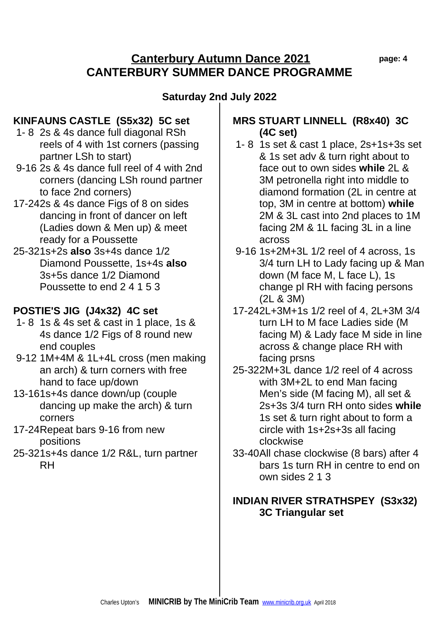## **Canterbury Autumn Dance 2021 page: 4 CANTERBURY SUMMER DANCE PROGRAMME**

# **Saturday 2nd July 2022**

## **KINFAUNS CASTLE (S5x32) 5C set**

- 1- 8 2s & 4s dance full diagonal RSh reels of 4 with 1st corners (passing partner LSh to start)
- 9-16 2s & 4s dance full reel of 4 with 2nd corners (dancing LSh round partner to face 2nd corners)
- 17-242s & 4s dance Figs of 8 on sides dancing in front of dancer on left (Ladies down & Men up) & meet ready for a Poussette
- 25-321s+2s **also** 3s+4s dance 1/2 Diamond Poussette, 1s+4s **also**  3s+5s dance 1/2 Diamond Poussette to end 2 4 1 5 3

## **POSTIE'S JIG (J4x32) 4C set**

- 1- 8 1s & 4s set & cast in 1 place, 1s & 4s dance 1/2 Figs of 8 round new end couples
- 9-12 1M+4M & 1L+4L cross (men making an arch) & turn corners with free hand to face up/down
- 13-161s+4s dance down/up (couple dancing up make the arch) & turn corners
- 17-24Repeat bars 9-16 from new positions
- 25-321s+4s dance 1/2 R&L, turn partner RH

#### **MRS STUART LINNELL (R8x40) 3C (4C set)**

- 1- 8 1s set & cast 1 place, 2s+1s+3s set & 1s set adv & turn right about to face out to own sides **while** 2L & 3M petronella right into middle to diamond formation (2L in centre at top, 3M in centre at bottom) **while**  2M & 3L cast into 2nd places to 1M facing 2M & 1L facing 3L in a line across
- 9-16 1s+2M+3L 1/2 reel of 4 across, 1s 3/4 turn LH to Lady facing up & Man down (M face M, L face L), 1s change pl RH with facing persons (2L & 3M)
- 17-242L+3M+1s 1/2 reel of 4, 2L+3M 3/4 turn LH to M face Ladies side (M facing M) & Lady face M side in line across & change place RH with facing prsns
- 25-322M+3L dance 1/2 reel of 4 across with 3M+2L to end Man facing Men's side (M facing M), all set & 2s+3s 3/4 turn RH onto sides **while**  1s set & turn right about to form a circle with 1s+2s+3s all facing clockwise
- 33-40All chase clockwise (8 bars) after 4 bars 1s turn RH in centre to end on own sides 2 1 3

#### **INDIAN RIVER STRATHSPEY (S3x32) 3C Triangular set**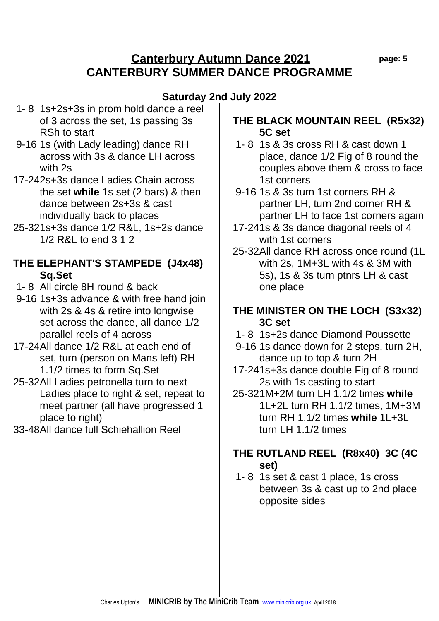## **Canterbury Autumn Dance 2021 page: 5 CANTERBURY SUMMER DANCE PROGRAMME**

# **Saturday 2nd July 2022**

- 1- 8 1s+2s+3s in prom hold dance a reel of 3 across the set, 1s passing 3s RSh to start
- 9-16 1s (with Lady leading) dance RH across with 3s & dance LH across with 2s
- 17-242s+3s dance Ladies Chain across the set **while** 1s set (2 bars) & then dance between 2s+3s & cast individually back to places
- 25-321s+3s dance 1/2 R&L, 1s+2s dance 1/2 R&L to end 3 1 2

## **THE ELEPHANT'S STAMPEDE (J4x48) Sq.Set**

- 1- 8 All circle 8H round & back
- 9-16 1s+3s advance & with free hand join with 2s & 4s & retire into longwise set across the dance, all dance 1/2 parallel reels of 4 across
- 17-24All dance 1/2 R&L at each end of set, turn (person on Mans left) RH 1.1/2 times to form Sq.Set
- 25-32All Ladies petronella turn to next Ladies place to right & set, repeat to meet partner (all have progressed 1 place to right)
- 33-48All dance full Schiehallion Reel

## **THE BLACK MOUNTAIN REEL (R5x32) 5C set**

- 1- 8 1s & 3s cross RH & cast down 1 place, dance 1/2 Fig of 8 round the couples above them & cross to face 1st corners
- 9-16 1s & 3s turn 1st corners RH & partner LH, turn 2nd corner RH & partner LH to face 1st corners again
- 17-241s & 3s dance diagonal reels of 4 with 1st corners
- 25-32All dance RH across once round (1L with 2s, 1M+3L with 4s & 3M with 5s), 1s & 3s turn ptnrs LH & cast one place

#### **THE MINISTER ON THE LOCH (S3x32) 3C set**

- 1- 8 1s+2s dance Diamond Poussette
- 9-16 1s dance down for 2 steps, turn 2H, dance up to top & turn 2H
- 17-241s+3s dance double Fig of 8 round 2s with 1s casting to start
- 25-321M+2M turn LH 1.1/2 times **while**  1L+2L turn RH 1.1/2 times, 1M+3M turn RH 1.1/2 times **while** 1L+3L turn LH 1.1/2 times

# **THE RUTLAND REEL (R8x40) 3C (4C set)**

 1- 8 1s set & cast 1 place, 1s cross between 3s & cast up to 2nd place opposite sides